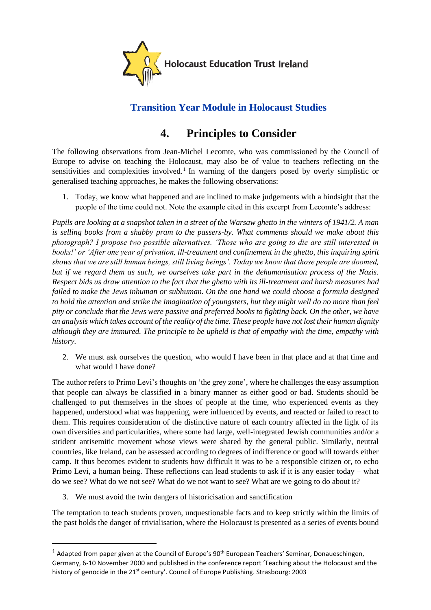

## **Transition Year Module in Holocaust Studies**

## **4. Principles to Consider**

The following observations from Jean-Michel Lecomte, who was commissioned by the Council of Europe to advise on teaching the Holocaust, may also be of value to teachers reflecting on the sensitivities and complexities involved.<sup>1</sup> In warning of the dangers posed by overly simplistic or generalised teaching approaches, he makes the following observations:

1. Today, we know what happened and are inclined to make judgements with a hindsight that the people of the time could not. Note the example cited in this excerpt from Lecomte's address:

*Pupils are looking at a snapshot taken in a street of the Warsaw ghetto in the winters of 1941/2. A man is selling books from a shabby pram to the passers-by. What comments should we make about this photograph? I propose two possible alternatives. 'Those who are going to die are still interested in books!' or 'After one year of privation, ill-treatment and confinement in the ghetto, this inquiring spirit shows that we are still human beings, still living beings'. Today we know that those people are doomed, but if we regard them as such, we ourselves take part in the dehumanisation process of the Nazis. Respect bids us draw attention to the fact that the ghetto with its ill-treatment and harsh measures had failed to make the Jews inhuman or subhuman. On the one hand we could choose a formula designed to hold the attention and strike the imagination of youngsters, but they might well do no more than feel pity or conclude that the Jews were passive and preferred books to fighting back. On the other, we have an analysis which takes account of the reality of the time. These people have not lost their human dignity although they are immured. The principle to be upheld is that of empathy with the time, empathy with history.*

2. We must ask ourselves the question, who would I have been in that place and at that time and what would I have done?

The author refers to Primo Levi's thoughts on 'the grey zone', where he challenges the easy assumption that people can always be classified in a binary manner as either good or bad. Students should be challenged to put themselves in the shoes of people at the time, who experienced events as they happened, understood what was happening, were influenced by events, and reacted or failed to react to them. This requires consideration of the distinctive nature of each country affected in the light of its own diversities and particularities, where some had large, well-integrated Jewish communities and/or a strident antisemitic movement whose views were shared by the general public. Similarly, neutral countries, like Ireland, can be assessed according to degrees of indifference or good will towards either camp. It thus becomes evident to students how difficult it was to be a responsible citizen or, to echo Primo Levi, a human being. These reflections can lead students to ask if it is any easier today – what do we see? What do we not see? What do we not want to see? What are we going to do about it?

3. We must avoid the twin dangers of historicisation and sanctification

The temptation to teach students proven, unquestionable facts and to keep strictly within the limits of the past holds the danger of trivialisation, where the Holocaust is presented as a series of events bound

 $1$  Adapted from paper given at the Council of Europe's 90<sup>th</sup> European Teachers' Seminar, Donaueschingen, Germany, 6-10 November 2000 and published in the conference report 'Teaching about the Holocaust and the history of genocide in the 21<sup>st</sup> century'. Council of Europe Publishing. Strasbourg: 2003